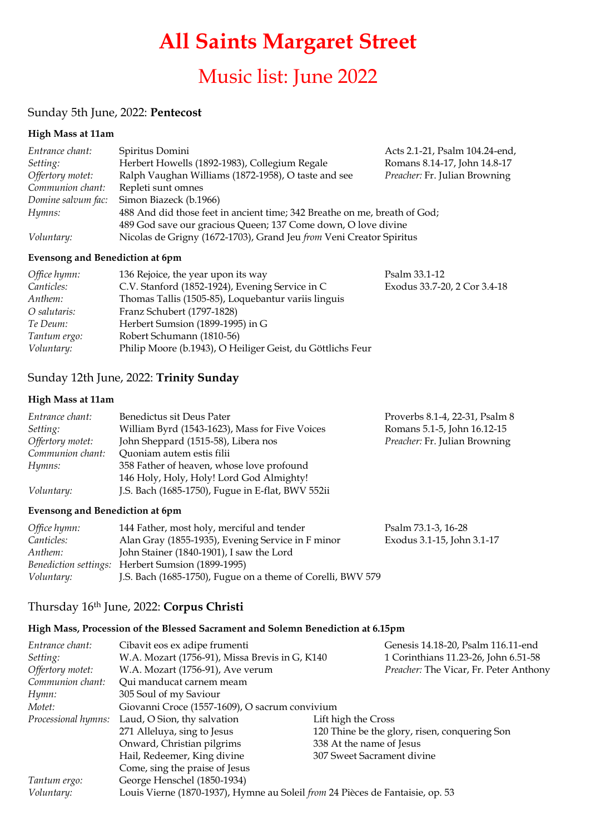# **All Saints Margaret Street**

## Music list: June 2022

#### Sunday 5th June, 2022: **Pentecost**

#### **High Mass at 11am**

| Entrance chant:    | Spiritus Domini                                                           | Acts 2.1-21, Psalm 104.24-end, |
|--------------------|---------------------------------------------------------------------------|--------------------------------|
| Setting:           | Herbert Howells (1892-1983), Collegium Regale                             | Romans 8.14-17, John 14.8-17   |
| Offertory motet:   | Ralph Vaughan Williams (1872-1958), O taste and see                       | Preacher: Fr. Julian Browning  |
| Communion chant:   | Repleti sunt omnes                                                        |                                |
| Domine salvum fac: | Simon Biazeck (b.1966)                                                    |                                |
| Hymns:             | 488 And did those feet in ancient time; 342 Breathe on me, breath of God; |                                |
|                    | 489 God save our gracious Queen; 137 Come down, O love divine             |                                |
| Voluntary:         | Nicolas de Grigny (1672-1703), Grand Jeu from Veni Creator Spiritus       |                                |

#### **Evensong and Benediction at 6pm**

| Office hymn:      | 136 Rejoice, the year upon its way                         | Psalm 33.1-12                |
|-------------------|------------------------------------------------------------|------------------------------|
| <i>Canticles:</i> | C.V. Stanford (1852-1924), Evening Service in C            | Exodus 33.7-20, 2 Cor 3.4-18 |
| Anthem:           | Thomas Tallis (1505-85), Loquebantur variis linguis        |                              |
| O salutaris:      | Franz Schubert (1797-1828)                                 |                              |
| Te Deum:          | Herbert Sumsion (1899-1995) in G                           |                              |
| Tantum ergo:      | Robert Schumann (1810-56)                                  |                              |
| <i>Voluntary:</i> | Philip Moore (b.1943), O Heiliger Geist, du Göttlichs Feur |                              |

## Sunday 12th June, 2022: **Trinity Sunday**

#### **High Mass at 11am**

| Entrance chant:   | Benedictus sit Deus Pater                         | Proverbs 8.1-4, 22-31, Psalm 8 |
|-------------------|---------------------------------------------------|--------------------------------|
| <i>Setting:</i>   | William Byrd (1543-1623), Mass for Five Voices    | Romans 5.1-5, John 16.12-15    |
| Offertory motet:  | John Sheppard (1515-58), Libera nos               | Preacher: Fr. Julian Browning  |
| Communion chant:  | Quoniam autem estis filii                         |                                |
| Hymns:            | 358 Father of heaven, whose love profound         |                                |
|                   | 146 Holy, Holy, Holy! Lord God Almighty!          |                                |
| <i>Voluntary:</i> | J.S. Bach (1685-1750), Fugue in E-flat, BWV 552ii |                                |

#### **Evensong and Benediction at 6pm**

| Office hymn:      | 144 Father, most holy, merciful and tender                  | Psalm 73.1-3, 16-28        |
|-------------------|-------------------------------------------------------------|----------------------------|
| <i>Canticles:</i> | Alan Gray (1855-1935), Evening Service in F minor           | Exodus 3.1-15, John 3.1-17 |
| Anthem:           | John Stainer (1840-1901), I saw the Lord                    |                            |
|                   | Benediction settings: Herbert Sumsion (1899-1995)           |                            |
| Voluntary:        | J.S. Bach (1685-1750), Fugue on a theme of Corelli, BWV 579 |                            |

#### Thursday 16th June, 2022: **Corpus Christi**

#### **High Mass, Procession of the Blessed Sacrament and Solemn Benediction at 6.15pm**

| Entrance chant:     | Cibavit eos ex adipe frumenti                                                 |                            | Genesis 14.18-20, Psalm 116.11-end            |
|---------------------|-------------------------------------------------------------------------------|----------------------------|-----------------------------------------------|
| Setting:            | W.A. Mozart (1756-91), Missa Brevis in G, K140                                |                            | 1 Corinthians 11.23-26, John 6.51-58          |
| Offertory motet:    | W.A. Mozart (1756-91), Ave verum                                              |                            | Preacher: The Vicar, Fr. Peter Anthony        |
| Communion chant:    | Qui manducat carnem meam                                                      |                            |                                               |
| Hymn:               | 305 Soul of my Saviour                                                        |                            |                                               |
| Motet:              | Giovanni Croce (1557-1609), O sacrum convivium                                |                            |                                               |
| Processional hymns: | Laud, O Sion, thy salvation                                                   | Lift high the Cross        |                                               |
|                     | 271 Alleluya, sing to Jesus                                                   |                            | 120 Thine be the glory, risen, conquering Son |
|                     | Onward, Christian pilgrims                                                    | 338 At the name of Jesus   |                                               |
|                     | Hail, Redeemer, King divine                                                   | 307 Sweet Sacrament divine |                                               |
|                     | Come, sing the praise of Jesus                                                |                            |                                               |
| Tantum ergo:        | George Henschel (1850-1934)                                                   |                            |                                               |
| Voluntary:          | Louis Vierne (1870-1937), Hymne au Soleil from 24 Pièces de Fantaisie, op. 53 |                            |                                               |